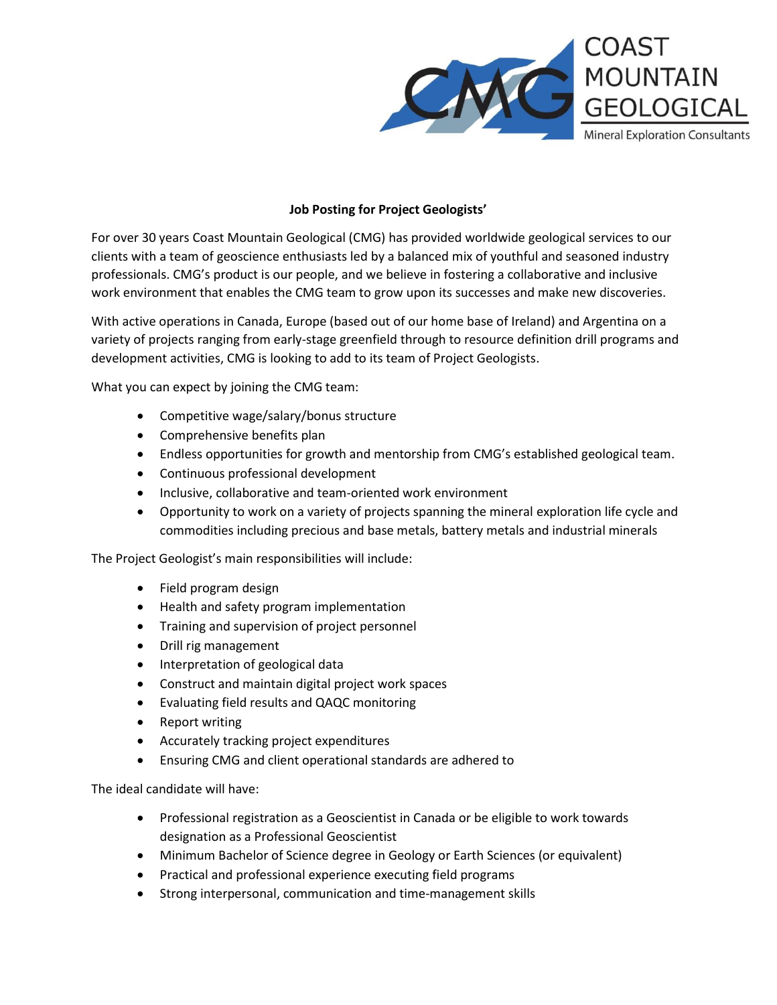

## **Job Posting for Project Geologists'**

For over 30 years Coast Mountain Geological (CMG) has provided worldwide geological services to our clients with a team of geoscience enthusiasts led by a balanced mix of youthful and seasoned industry professionals. CMG's product is our people, and we believe in fostering a collaborative and inclusive work environment that enables the CMG team to grow upon its successes and make new discoveries.

With active operations in Canada, Europe (based out of our home base of Ireland) and Argentina on a variety of projects ranging from early-stage greenfield through to resource definition drill programs and development activities, CMG is looking to add to its team of Project Geologists.

What you can expect by joining the CMG team:

- Competitive wage/salary/bonus structure
- Comprehensive benefits plan
- Endless opportunities for growth and mentorship from CMG's established geological team.
- Continuous professional development
- Inclusive, collaborative and team-oriented work environment
- Opportunity to work on a variety of projects spanning the mineral exploration life cycle and commodities including precious and base metals, battery metals and industrial minerals

The Project Geologist's main responsibilities will include:

- Field program design
- Health and safety program implementation
- Training and supervision of project personnel
- Drill rig management
- Interpretation of geological data
- Construct and maintain digital project work spaces
- Evaluating field results and QAQC monitoring
- Report writing
- Accurately tracking project expenditures
- Ensuring CMG and client operational standards are adhered to

The ideal candidate will have:

- Professional registration as a Geoscientist in Canada or be eligible to work towards designation as a Professional Geoscientist
- Minimum Bachelor of Science degree in Geology or Earth Sciences (or equivalent)
- Practical and professional experience executing field programs
- Strong interpersonal, communication and time-management skills